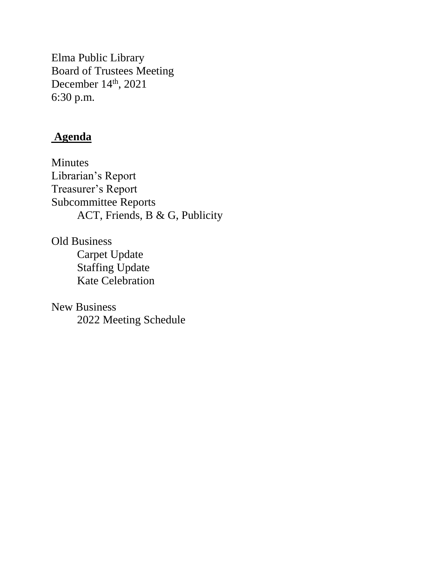Elma Public Library Board of Trustees Meeting December 14<sup>th</sup>, 2021 6:30 p.m.

# **Agenda**

Minutes Librarian's Report Treasurer's Report Subcommittee Reports ACT, Friends, B & G, Publicity

Old Business Carpet Update Staffing Update Kate Celebration

New Business 2022 Meeting Schedule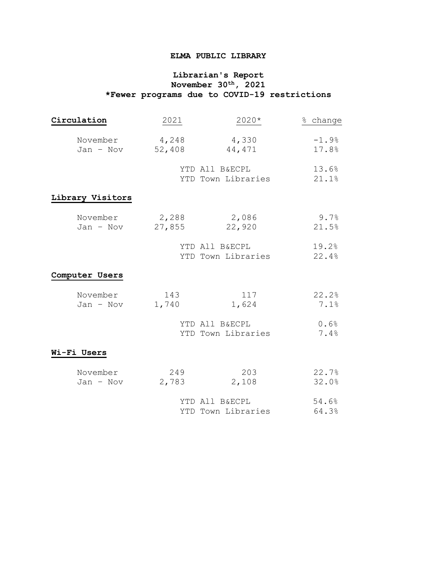### **ELMA PUBLIC LIBRARY**

### **Librarian's Report November 30th, 2021 \*Fewer programs due to COVID-19 restrictions**

| Circulation           | 2021            | 2020*                                | % change         |  |
|-----------------------|-----------------|--------------------------------------|------------------|--|
| November<br>Jan - Nov | 4,248<br>52,408 | 4,330<br>44,471                      | $-1.9%$<br>17.8% |  |
|                       |                 | YTD All B&ECPL<br>YTD Town Libraries | 13.6%<br>21.1%   |  |
| Library Visitors      |                 |                                      |                  |  |
| November<br>Jan - Nov | 2,288<br>27,855 | 2,086<br>22,920                      | 9.7%<br>21.5%    |  |
|                       |                 | YTD All B&ECPL<br>YTD Town Libraries | 19.2%<br>22.4%   |  |
| Computer Users        |                 |                                      |                  |  |
| November<br>Jan - Nov | 143<br>1,740    | 117<br>1,624                         | 22.2%<br>7.1%    |  |
|                       |                 | YTD All B&ECPL<br>YTD Town Libraries | 0.6%<br>7.4%     |  |
| Wi-Fi Users           |                 |                                      |                  |  |
| November<br>Jan - Nov | 249<br>2,783    | 203<br>2,108                         | 22.7%<br>32.0%   |  |
|                       |                 | YTD All B&ECPL<br>YTD Town Libraries | 54.6%<br>64.3%   |  |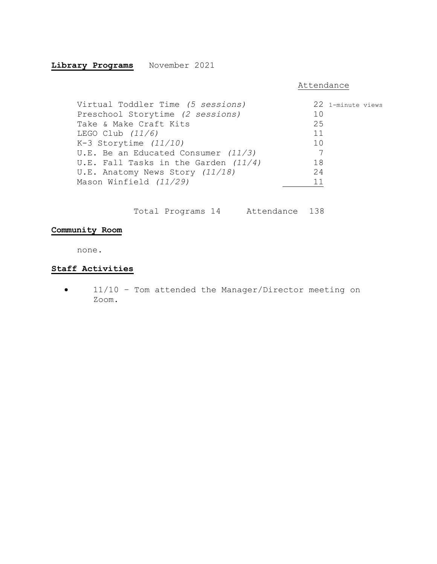# **Library Programs** November 2021

#### Attendance

| Virtual Toddler Time (5 sessions)      | 22 1-minute views |
|----------------------------------------|-------------------|
| Preschool Storytime (2 sessions)       | 10                |
| Take & Make Craft Kits                 | 25                |
| LEGO Club $(11/6)$                     | 11                |
| K-3 Storytime $(11/10)$                | 10                |
| U.E. Be an Educated Consumer $(11/3)$  | 7                 |
| U.E. Fall Tasks in the Garden $(11/4)$ | 18                |
| U.E. Anatomy News Story (11/18)        | 24                |
| Mason Winfield (11/29)                 | 11                |

Total Programs 14 Attendance 138

# **Community Room**

none.

# **Staff Activities**

 11/10 – Tom attended the Manager/Director meeting on Zoom.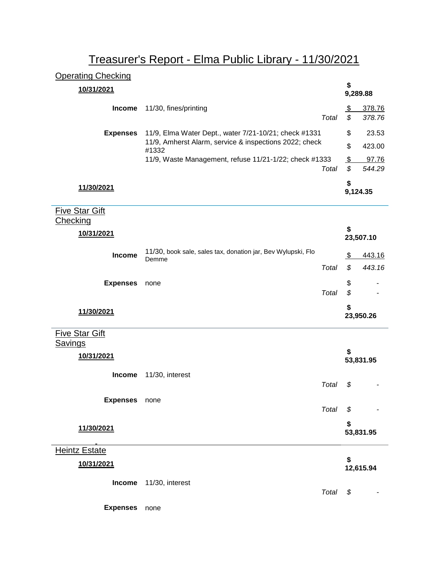# Treasurer's Report - Elma Public Library - 11/30/2021

| <b>Operating Checking</b> |                                                                 |       |               |           |
|---------------------------|-----------------------------------------------------------------|-------|---------------|-----------|
| 10/31/2021                |                                                                 |       | \$            | 9,289.88  |
| <b>Income</b>             | 11/30, fines/printing                                           |       | \$            | 378.76    |
|                           |                                                                 | Total | \$            | 378.76    |
| <b>Expenses</b>           | 11/9, Elma Water Dept., water 7/21-10/21; check #1331           |       | \$            | 23.53     |
|                           | 11/9, Amherst Alarm, service & inspections 2022; check<br>#1332 |       | \$            | 423.00    |
|                           | 11/9, Waste Management, refuse 11/21-1/22; check #1333          |       | $\frac{1}{2}$ | 97.76     |
|                           |                                                                 | Total | \$            | 544.29    |
| 11/30/2021                |                                                                 |       | \$            |           |
|                           |                                                                 |       |               | 9,124.35  |
| <b>Five Star Gift</b>     |                                                                 |       |               |           |
| <b>Checking</b>           |                                                                 |       | \$            |           |
| 10/31/2021                |                                                                 |       |               | 23,507.10 |
| Income                    | 11/30, book sale, sales tax, donation jar, Bev Wylupski, Flo    |       | $\frac{1}{2}$ | 443.16    |
|                           | Demme                                                           | Total | \$            | 443.16    |
|                           |                                                                 |       |               |           |
| <b>Expenses</b>           | none                                                            | Total | \$<br>\$      |           |
|                           |                                                                 |       |               |           |
| 11/30/2021                |                                                                 |       | \$            | 23,950.26 |
| <b>Five Star Gift</b>     |                                                                 |       |               |           |
| <b>Savings</b>            |                                                                 |       |               |           |
| 10/31/2021                |                                                                 |       |               |           |
|                           |                                                                 |       |               | 53,831.95 |
| <b>Income</b>             | 11/30, interest                                                 | Total | \$            |           |
|                           |                                                                 |       |               |           |
| <b>Expenses</b>           | none                                                            | Total | \$            |           |
|                           |                                                                 |       |               |           |
| 11/30/2021                |                                                                 |       | \$            | 53,831.95 |
|                           |                                                                 |       |               |           |
| <b>Heintz Estate</b>      |                                                                 |       | \$            |           |
| 10/31/2021                |                                                                 |       |               | 12,615.94 |
| <b>Income</b>             | 11/30, interest                                                 |       |               |           |
|                           |                                                                 | Total | \$            |           |
| <b>Expenses</b>           | none                                                            |       |               |           |